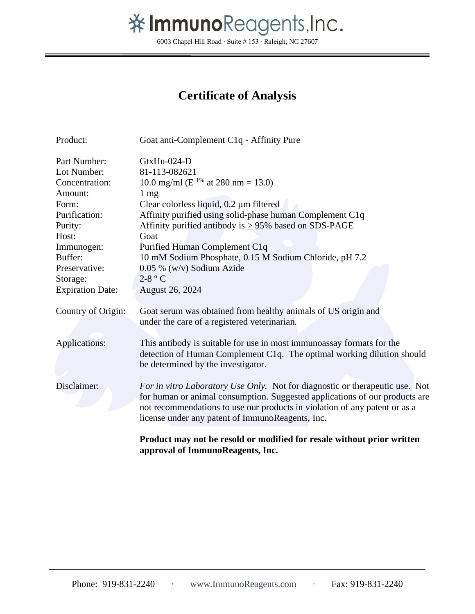## 举 ImmunoReagents, Inc.

6003 Chapel Hill Road ∙ Suite # 153 ∙ Raleigh, NC 27607

## **Certificate of Analysis**

| Product:                | Goat anti-Complement C1q - Affinity Pure                                     |  |  |  |  |
|-------------------------|------------------------------------------------------------------------------|--|--|--|--|
| Part Number:            | GtxHu-024-D                                                                  |  |  |  |  |
| Lot Number:             | 81-113-082621                                                                |  |  |  |  |
| Concentration:          | 10.0 mg/ml ( $E^{1\%}$ at 280 nm = 13.0)                                     |  |  |  |  |
| Amount:                 | $1 \text{ mg}$                                                               |  |  |  |  |
| Form:                   | Clear colorless liquid, $0.2 \mu m$ filtered                                 |  |  |  |  |
| Purification:           | Affinity purified using solid-phase human Complement C1q                     |  |  |  |  |
| Purity:                 | Affinity purified antibody is $\geq$ 95% based on SDS-PAGE                   |  |  |  |  |
| Host:                   | Goat                                                                         |  |  |  |  |
| Immunogen:              | Purified Human Complement C1q                                                |  |  |  |  |
| Buffer:                 | 10 mM Sodium Phosphate, 0.15 M Sodium Chloride, pH 7.2                       |  |  |  |  |
| Preservative:           | $0.05\%$ (w/v) Sodium Azide                                                  |  |  |  |  |
| Storage:                | $2-8$ ° C                                                                    |  |  |  |  |
| <b>Expiration Date:</b> | August 26, 2024                                                              |  |  |  |  |
| Country of Origin:      | Goat serum was obtained from healthy animals of US origin and                |  |  |  |  |
|                         | under the care of a registered veterinarian.                                 |  |  |  |  |
|                         |                                                                              |  |  |  |  |
| Applications:           | This antibody is suitable for use in most immunoassay formats for the        |  |  |  |  |
|                         | detection of Human Complement C1q. The optimal working dilution should       |  |  |  |  |
|                         | be determined by the investigator.                                           |  |  |  |  |
|                         |                                                                              |  |  |  |  |
| Disclaimer:             | For in vitro Laboratory Use Only. Not for diagnostic or therapeutic use. Not |  |  |  |  |
|                         | for human or animal consumption. Suggested applications of our products are  |  |  |  |  |
|                         | not recommendations to use our products in violation of any patent or as a   |  |  |  |  |
|                         | license under any patent of ImmunoReagents, Inc.                             |  |  |  |  |
|                         | Product may not be resold or modified for resale without prior written       |  |  |  |  |
|                         | approval of ImmunoReagents, Inc.                                             |  |  |  |  |